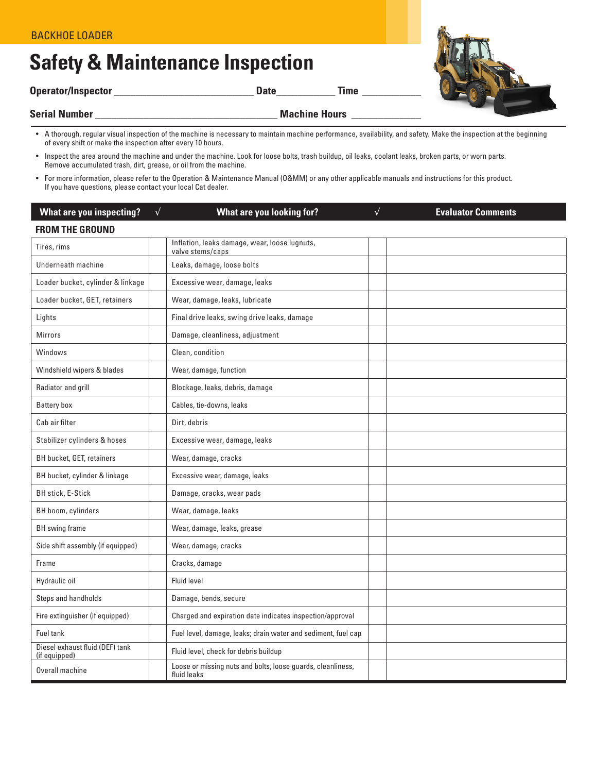## **Safety & Maintenance Inspection**

**Operator/Inspector \_\_\_\_\_\_\_\_\_\_\_\_\_\_\_\_\_\_\_\_\_\_\_\_\_\_ Date\_\_\_\_\_\_\_\_\_\_\_ Time \_\_\_\_\_\_\_\_\_\_\_**



**Serial Number \_\_\_\_\_\_\_\_\_\_\_\_\_\_\_\_\_\_\_\_\_\_\_\_\_\_\_\_\_\_\_\_\_\_ Machine Hours \_\_\_\_\_\_\_\_\_\_\_\_\_**

- A thorough, regular visual inspection of the machine is necessary to maintain machine performance, availability, and safety. Make the inspection at the beginning of every shift or make the inspection after every 10 hours.
- Inspect the area around the machine and under the machine. Look for loose bolts, trash buildup, oil leaks, coolant leaks, broken parts, or worn parts. Remove accumulated trash, dirt, grease, or oil from the machine.
- For more information, please refer to the Operation & Maintenance Manual (O&MM) or any other applicable manuals and instructions for this product. If you have questions, please contact your local Cat dealer.

| <b>What are you inspecting?</b>                  | $\sqrt{ }$ | <b>What are you looking for?</b>                                           | $\sqrt{}$ | <b>Evaluator Comments</b> |
|--------------------------------------------------|------------|----------------------------------------------------------------------------|-----------|---------------------------|
| <b>FROM THE GROUND</b>                           |            |                                                                            |           |                           |
| Tires, rims                                      |            | Inflation, leaks damage, wear, loose lugnuts,<br>valve stems/caps          |           |                           |
| Underneath machine                               |            | Leaks, damage, loose bolts                                                 |           |                           |
| Loader bucket, cylinder & linkage                |            | Excessive wear, damage, leaks                                              |           |                           |
| Loader bucket, GET, retainers                    |            | Wear, damage, leaks, lubricate                                             |           |                           |
| Lights                                           |            | Final drive leaks, swing drive leaks, damage                               |           |                           |
| <b>Mirrors</b>                                   |            | Damage, cleanliness, adjustment                                            |           |                           |
| Windows                                          |            | Clean, condition                                                           |           |                           |
| Windshield wipers & blades                       |            | Wear, damage, function                                                     |           |                           |
| Radiator and grill                               |            | Blockage, leaks, debris, damage                                            |           |                           |
| <b>Battery box</b>                               |            | Cables, tie-downs, leaks                                                   |           |                           |
| Cab air filter                                   |            | Dirt, debris                                                               |           |                           |
| Stabilizer cylinders & hoses                     |            | Excessive wear, damage, leaks                                              |           |                           |
| BH bucket, GET, retainers                        |            | Wear, damage, cracks                                                       |           |                           |
| BH bucket, cylinder & linkage                    |            | Excessive wear, damage, leaks                                              |           |                           |
| <b>BH stick, E-Stick</b>                         |            | Damage, cracks, wear pads                                                  |           |                           |
| BH boom, cylinders                               |            | Wear, damage, leaks                                                        |           |                           |
| <b>BH</b> swing frame                            |            | Wear, damage, leaks, grease                                                |           |                           |
| Side shift assembly (if equipped)                |            | Wear, damage, cracks                                                       |           |                           |
| Frame                                            |            | Cracks, damage                                                             |           |                           |
| Hydraulic oil                                    |            | <b>Fluid level</b>                                                         |           |                           |
| Steps and handholds                              |            | Damage, bends, secure                                                      |           |                           |
| Fire extinguisher (if equipped)                  |            | Charged and expiration date indicates inspection/approval                  |           |                           |
| <b>Fuel tank</b>                                 |            | Fuel level, damage, leaks; drain water and sediment, fuel cap              |           |                           |
| Diesel exhaust fluid (DEF) tank<br>(if equipped) |            | Fluid level, check for debris buildup                                      |           |                           |
| Overall machine                                  |            | Loose or missing nuts and bolts, loose guards, cleanliness,<br>fluid leaks |           |                           |